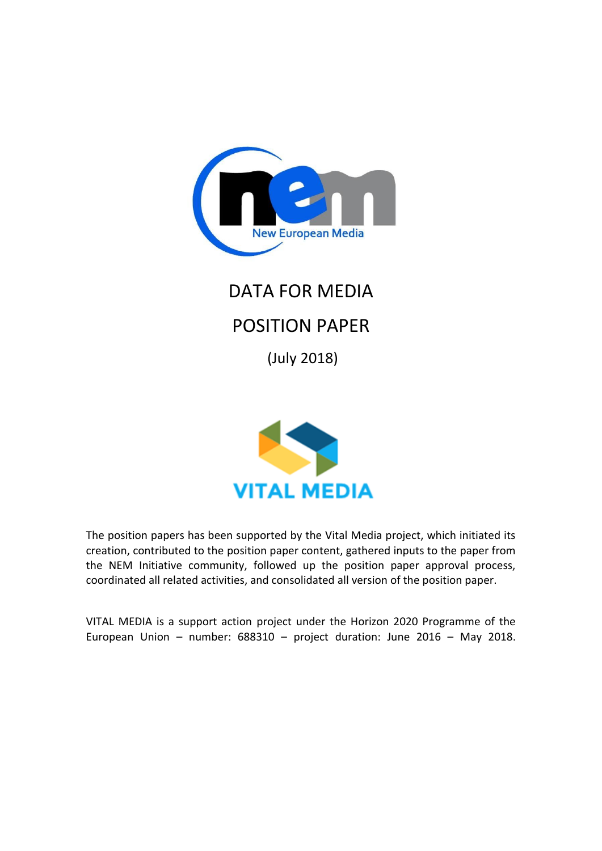

# DATA FOR MEDIA POSITION PAPER

(July 2018)



The position papers has been supported by the Vital Media project, which initiated its creation, contributed to the position paper content, gathered inputs to the paper from the NEM Initiative community, followed up the position paper approval process, coordinated all related activities, and consolidated all version of the position paper.

VITAL MEDIA is a support action project under the Horizon 2020 Programme of the European Union – number: 688310 – project duration: June 2016 – May 2018.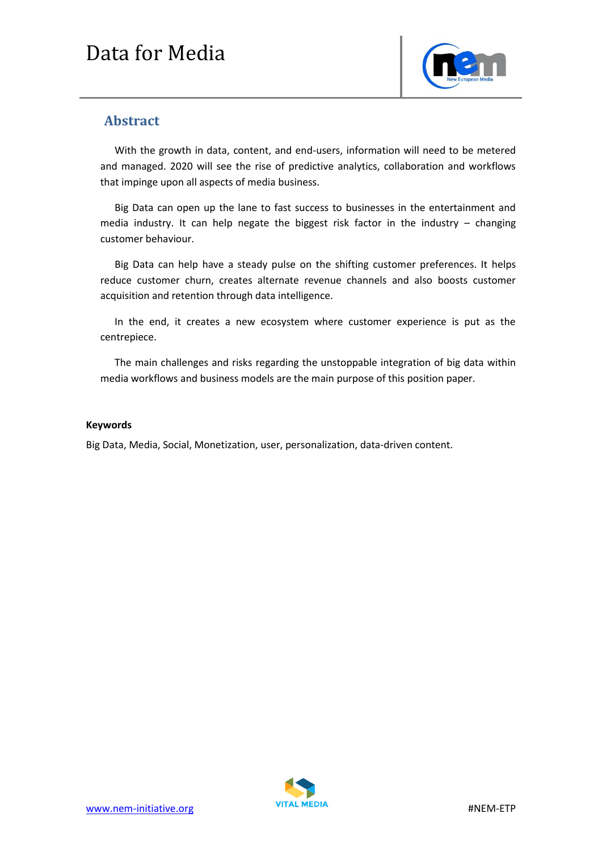

### **Abstract**

With the growth in data, content, and end-users, information will need to be metered and managed. 2020 will see the rise of predictive analytics, collaboration and workflows that impinge upon all aspects of media business.

Big Data can open up the lane to fast success to businesses in the entertainment and media industry. It can help negate the biggest risk factor in the industry – changing customer behaviour.

Big Data can help have a steady pulse on the shifting customer preferences. It helps reduce customer churn, creates alternate revenue channels and also boosts customer acquisition and retention through data intelligence.

In the end, it creates a new ecosystem where customer experience is put as the centrepiece.

The main challenges and risks regarding the unstoppable integration of big data within media workflows and business models are the main purpose of this position paper.

#### **Keywords**

Big Data, Media, Social, Monetization, user, personalization, data-driven content.

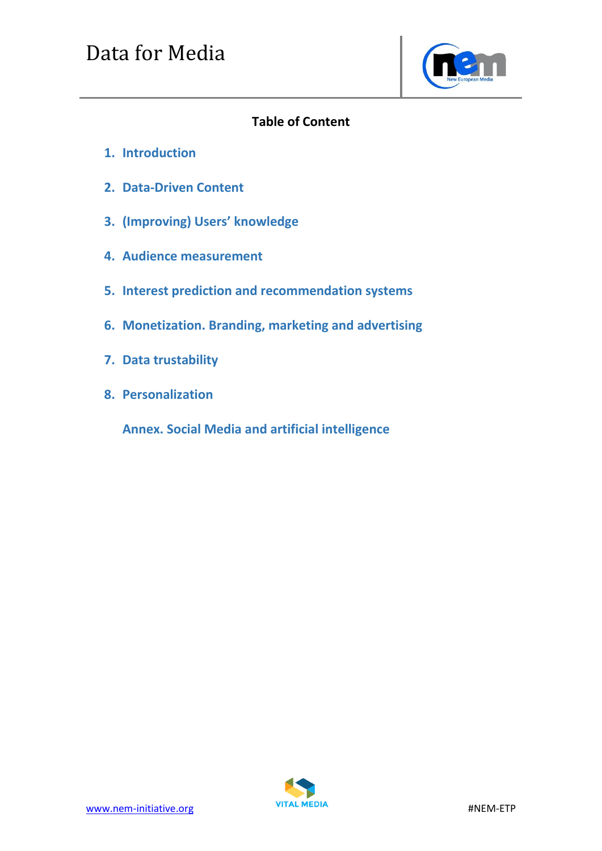

## **Table of Content**

- **1. Introduction**
- **2. Data-Driven Content**
- **3. (Improving) Users' knowledge**
- **4. Audience measurement**
- **5. Interest prediction and recommendation systems**
- **6. Monetization. Branding, marketing and advertising**
- **7. Data trustability**
- **8. Personalization**

**Annex. Social Media and artificial intelligence**

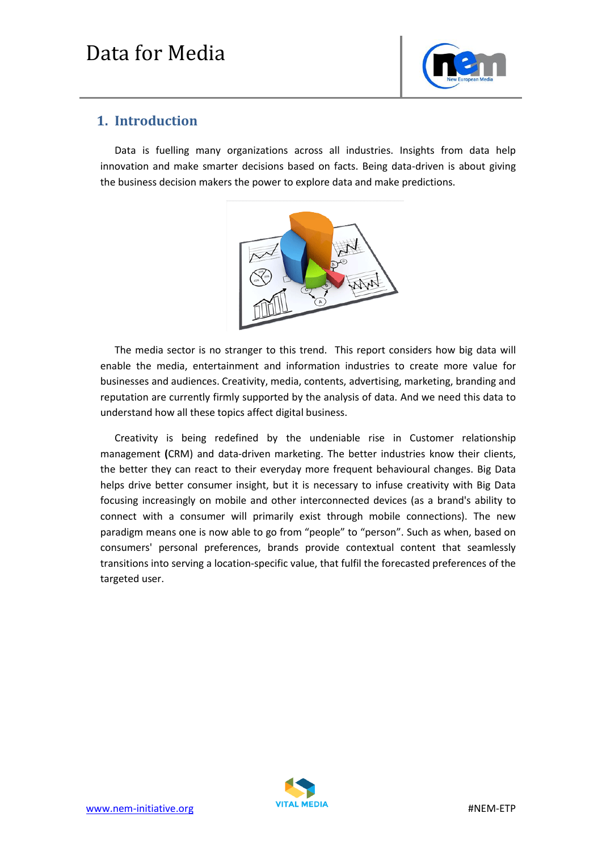

### **1. Introduction**

Data is fuelling many organizations across all industries. Insights from data help innovation and make smarter decisions based on facts. Being data-driven is about giving the business decision makers the power to explore data and make predictions.



The media sector is no stranger to this trend. This report considers how big data will enable the media, entertainment and information industries to create more value for businesses and audiences. Creativity, media, contents, advertising, marketing, branding and reputation are currently firmly supported by the analysis of data. And we need this data to understand how all these topics affect digital business.

Creativity is being redefined by the undeniable rise in Customer relationship management **(**CRM) and data-driven marketing. The better industries know their clients, the better they can react to their everyday more frequent behavioural changes. Big Data helps drive better consumer insight, but it is necessary to infuse creativity with Big Data focusing increasingly on mobile and other interconnected devices (as a brand's ability to connect with a consumer will primarily exist through mobile connections). The new paradigm means one is now able to go from "people" to "person". Such as when, based on consumers' personal preferences, brands provide contextual content that seamlessly transitions into serving a location-specific value, that fulfil the forecasted preferences of the targeted user.

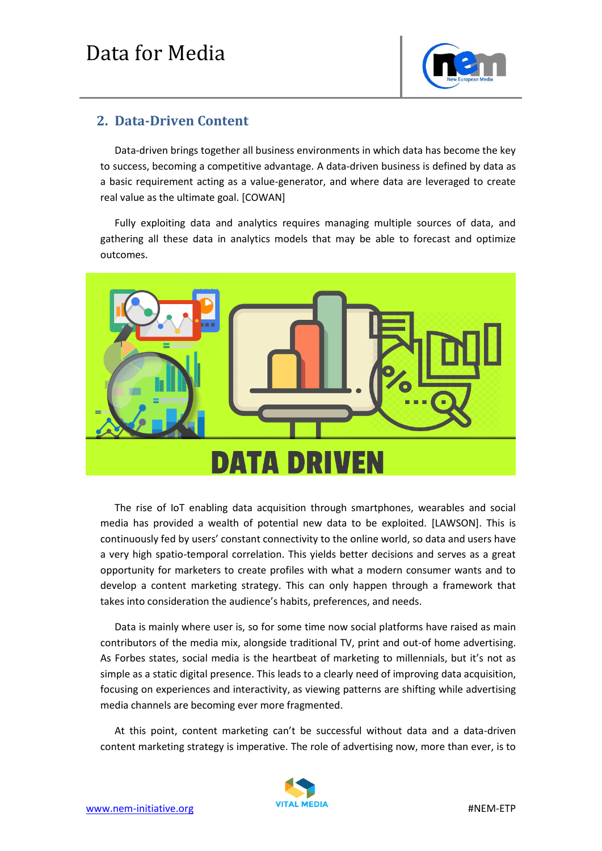

## **2. Data-Driven Content**

Data-driven brings together all business environments in which data has become the key to success, becoming a competitive advantage. A data-driven business is defined by data as a basic requirement acting as a value-generator, and where data are leveraged to create real value as the ultimate goal. [COWAN]

Fully exploiting data and analytics requires managing multiple sources of data, and gathering all these data in analytics models that may be able to forecast and optimize outcomes.



The rise of IoT enabling data acquisition through smartphones, wearables and social media has provided a wealth of potential new data to be exploited. [LAWSON]. This is continuously fed by users' constant connectivity to the online world, so data and users have a very high spatio-temporal correlation. This yields better decisions and serves as a great opportunity for marketers to create profiles with what a modern consumer wants and to develop a content marketing strategy. This can only happen through a framework that takes into consideration the audience's habits, preferences, and needs.

Data is mainly where user is, so for some time now social platforms have raised as main contributors of the media mix, alongside traditional TV, print and out-of home advertising. As Forbes states, social media is the heartbeat of marketing to millennials, but it's not as simple as a static digital presence. This leads to a clearly need of improving data acquisition, focusing on experiences and interactivity, as viewing patterns are shifting while advertising media channels are becoming ever more fragmented.

At this point, content marketing can't be successful without data and a data-driven content marketing strategy is imperative. The role of advertising now, more than ever, is to

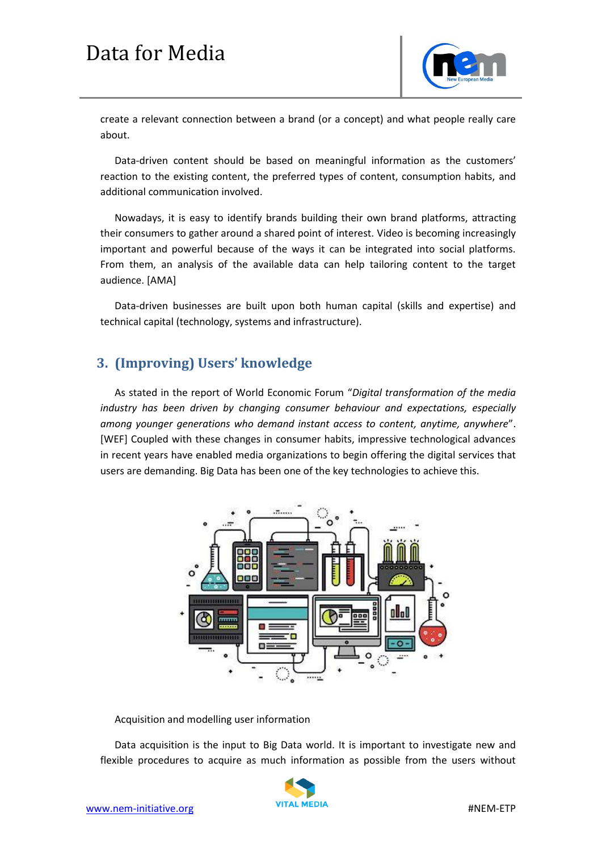

create a relevant connection between a brand (or a concept) and what people really care about.

Data-driven content should be based on meaningful information as the customers' reaction to the existing content, the preferred types of content, consumption habits, and additional communication involved.

Nowadays, it is easy to identify brands building their own brand platforms, attracting their consumers to gather around a shared point of interest. Video is becoming increasingly important and powerful because of the ways it can be integrated into social platforms. From them, an analysis of the available data can help tailoring content to the target audience. [AMA]

Data-driven businesses are built upon both human capital (skills and expertise) and technical capital (technology, systems and infrastructure).

## **3. (Improving) Users' knowledge**

As stated in the report of World Economic Forum "*Digital transformation of the media industry has been driven by changing consumer behaviour and expectations, especially among younger generations who demand instant access to content, anytime, anywhere*". [WEF] Coupled with these changes in consumer habits, impressive technological advances in recent years have enabled media organizations to begin offering the digital services that users are demanding. Big Data has been one of the key technologies to achieve this.



Acquisition and modelling user information

Data acquisition is the input to Big Data world. It is important to investigate new and flexible procedures to acquire as much information as possible from the users without

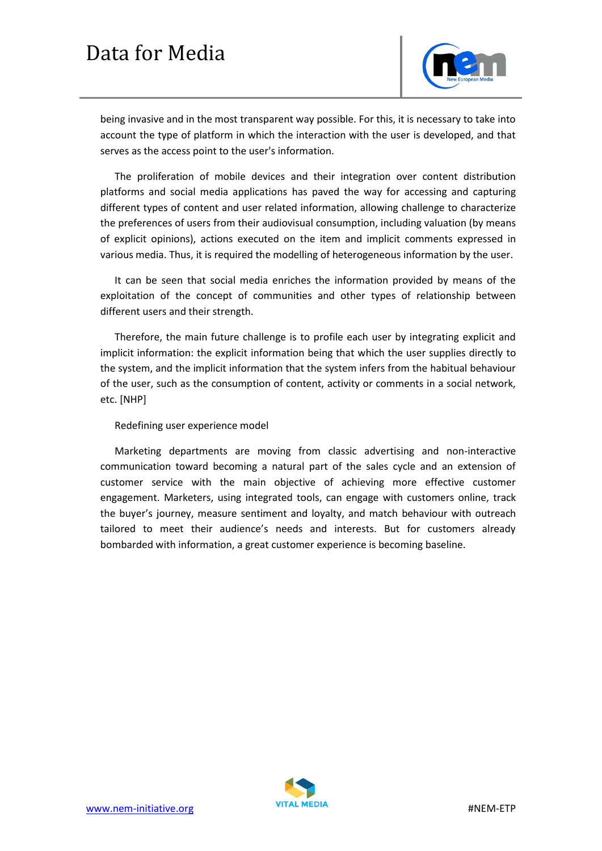

being invasive and in the most transparent way possible. For this, it is necessary to take into account the type of platform in which the interaction with the user is developed, and that serves as the access point to the user's information.

The proliferation of mobile devices and their integration over content distribution platforms and social media applications has paved the way for accessing and capturing different types of content and user related information, allowing challenge to characterize the preferences of users from their audiovisual consumption, including valuation (by means of explicit opinions), actions executed on the item and implicit comments expressed in various media. Thus, it is required the modelling of heterogeneous information by the user.

It can be seen that social media enriches the information provided by means of the exploitation of the concept of communities and other types of relationship between different users and their strength.

Therefore, the main future challenge is to profile each user by integrating explicit and implicit information: the explicit information being that which the user supplies directly to the system, and the implicit information that the system infers from the habitual behaviour of the user, such as the consumption of content, activity or comments in a social network, etc. [NHP]

#### Redefining user experience model

Marketing departments are moving from classic advertising and non-interactive communication toward becoming a natural part of the sales cycle and an extension of customer service with the main objective of achieving more effective customer engagement. Marketers, using integrated tools, can engage with customers online, track the buyer's journey, measure sentiment and loyalty, and match behaviour with outreach tailored to meet their audience's needs and interests. But for customers already bombarded with information, a great customer experience is becoming baseline.

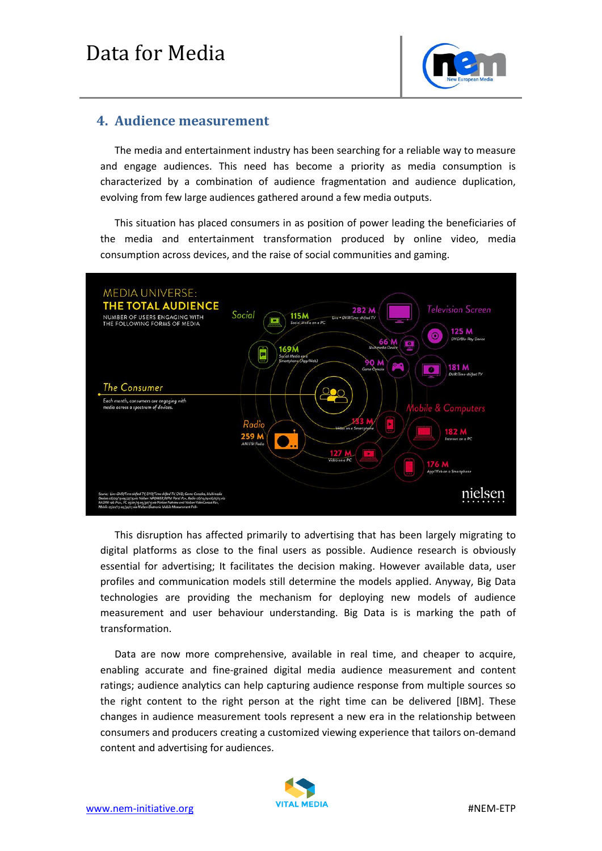

### **4. Audience measurement**

The media and entertainment industry has been searching for a reliable way to measure and engage audiences. This need has become a priority as media consumption is characterized by a combination of audience fragmentation and audience duplication, evolving from few large audiences gathered around a few media outputs.

This situation has placed consumers in as position of power leading the beneficiaries of the media and entertainment transformation produced by online video, media consumption across devices, and the raise of social communities and gaming.



This disruption has affected primarily to advertising that has been largely migrating to digital platforms as close to the final users as possible. Audience research is obviously essential for advertising; It facilitates the decision making. However available data, user profiles and communication models still determine the models applied. Anyway, Big Data technologies are providing the mechanism for deploying new models of audience measurement and user behaviour understanding. Big Data is is marking the path of transformation.

Data are now more comprehensive, available in real time, and cheaper to acquire, enabling accurate and fine-grained digital media audience measurement and content ratings; audience analytics can help capturing audience response from multiple sources so the right content to the right person at the right time can be delivered [IBM]. These changes in audience measurement tools represent a new era in the relationship between consumers and producers creating a customized viewing experience that tailors on-demand content and advertising for audiences.

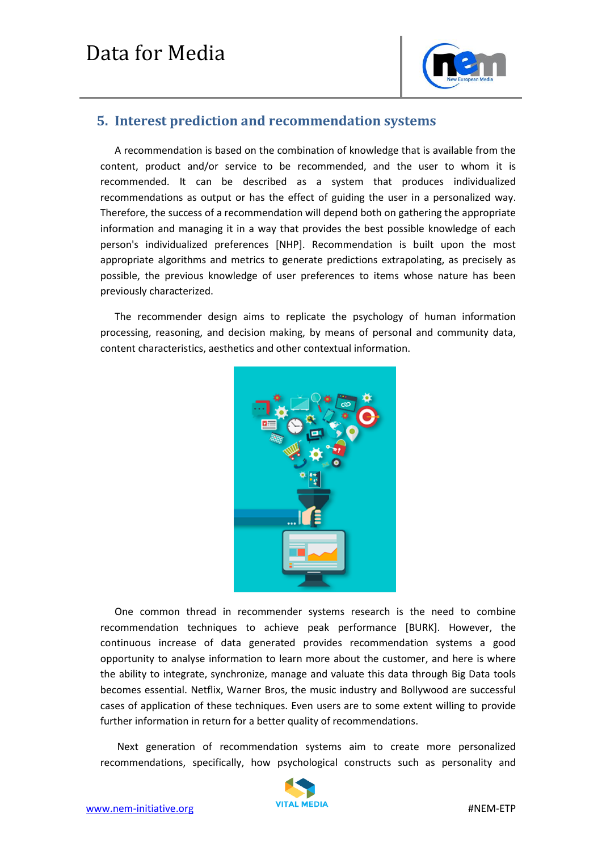

### **5. Interest prediction and recommendation systems**

A recommendation is based on the combination of knowledge that is available from the content, product and/or service to be recommended, and the user to whom it is recommended. It can be described as a system that produces individualized recommendations as output or has the effect of guiding the user in a personalized way. Therefore, the success of a recommendation will depend both on gathering the appropriate information and managing it in a way that provides the best possible knowledge of each person's individualized preferences [NHP]. Recommendation is built upon the most appropriate algorithms and metrics to generate predictions extrapolating, as precisely as possible, the previous knowledge of user preferences to items whose nature has been previously characterized.

The recommender design aims to replicate the psychology of human information processing, reasoning, and decision making, by means of personal and community data, content characteristics, aesthetics and other contextual information.



One common thread in recommender systems research is the need to combine recommendation techniques to achieve peak performance [BURK]. However, the continuous increase of data generated provides recommendation systems a good opportunity to analyse information to learn more about the customer, and here is where the ability to integrate, synchronize, manage and valuate this data through Big Data tools becomes essential. Netflix, Warner Bros, the music industry and Bollywood are successful cases of application of these techniques. Even users are to some extent willing to provide further information in return for a better quality of recommendations.

Next generation of recommendation systems aim to create more personalized recommendations, specifically, how psychological constructs such as personality and

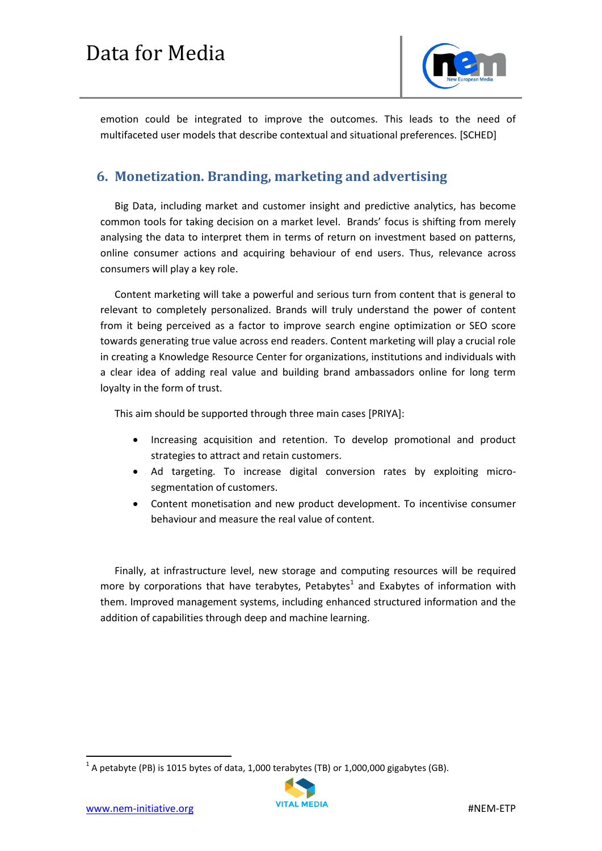

emotion could be integrated to improve the outcomes. This leads to the need of multifaceted user models that describe contextual and situational preferences. [SCHED]

## **6. Monetization. Branding, marketing and advertising**

Big Data, including market and customer insight and predictive analytics, has become common tools for taking decision on a market level. Brands' focus is shifting from merely analysing the data to interpret them in terms of return on investment based on patterns, online consumer actions and acquiring behaviour of end users. Thus, relevance across consumers will play a key role.

Content marketing will take a powerful and serious turn from content that is general to relevant to completely personalized. Brands will truly understand the power of content from it being perceived as a factor to improve search engine optimization or SEO score towards generating true value across end readers. Content marketing will play a crucial role in creating a Knowledge Resource Center for organizations, institutions and individuals with a clear idea of adding real value and building brand ambassadors online for long term loyalty in the form of trust.

This aim should be supported through three main cases [PRIYA]:

- Increasing acquisition and retention. To develop promotional and product strategies to attract and retain customers.
- Ad targeting. To increase digital conversion rates by exploiting microsegmentation of customers.
- Content monetisation and new product development. To incentivise consumer behaviour and measure the real value of content.

Finally, at infrastructure level, new storage and computing resources will be required more by corporations that have terabytes, Petabytes<sup>1</sup> and Exabytes of information with them. Improved management systems, including enhanced structured information and the addition of capabilities through deep and machine learning.

 $^1$  A petabyte (PB) is 1015 bytes of data, 1,000 terabytes (TB) or 1,000,000 gigabytes (GB).



**.**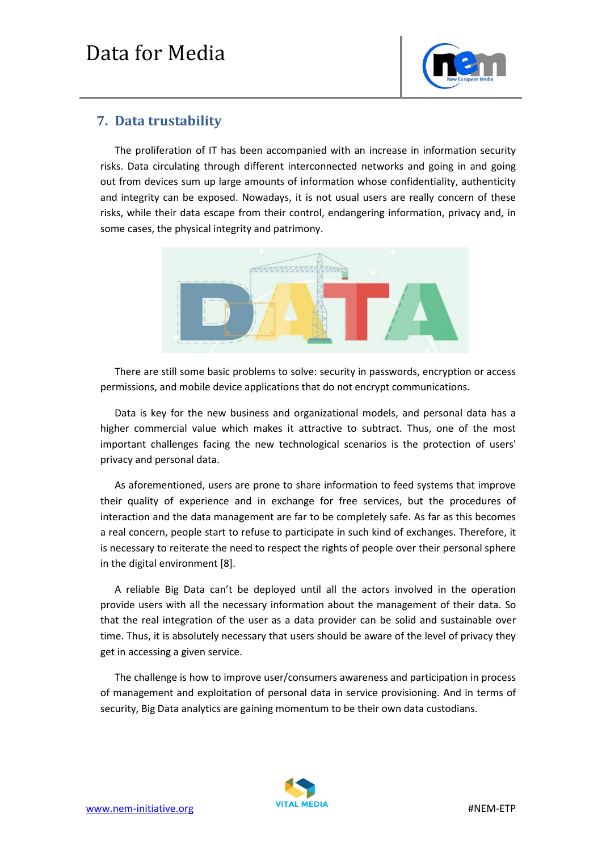

### **7. Data trustability**

The proliferation of IT has been accompanied with an increase in information security risks. Data circulating through different interconnected networks and going in and going out from devices sum up large amounts of information whose confidentiality, authenticity and integrity can be exposed. Nowadays, it is not usual users are really concern of these risks, while their data escape from their control, endangering information, privacy and, in some cases, the physical integrity and patrimony.



There are still some basic problems to solve: security in passwords, encryption or access permissions, and mobile device applications that do not encrypt communications.

Data is key for the new business and organizational models, and personal data has a higher commercial value which makes it attractive to subtract. Thus, one of the most important challenges facing the new technological scenarios is the protection of users' privacy and personal data.

As aforementioned, users are prone to share information to feed systems that improve their quality of experience and in exchange for free services, but the procedures of interaction and the data management are far to be completely safe. As far as this becomes a real concern, people start to refuse to participate in such kind of exchanges. Therefore, it is necessary to reiterate the need to respect the rights of people over their personal sphere in the digital environment [8].

A reliable Big Data can't be deployed until all the actors involved in the operation provide users with all the necessary information about the management of their data. So that the real integration of the user as a data provider can be solid and sustainable over time. Thus, it is absolutely necessary that users should be aware of the level of privacy they get in accessing a given service.

The challenge is how to improve user/consumers awareness and participation in process of management and exploitation of personal data in service provisioning. And in terms of security, Big Data analytics are gaining momentum to be their own data custodians.

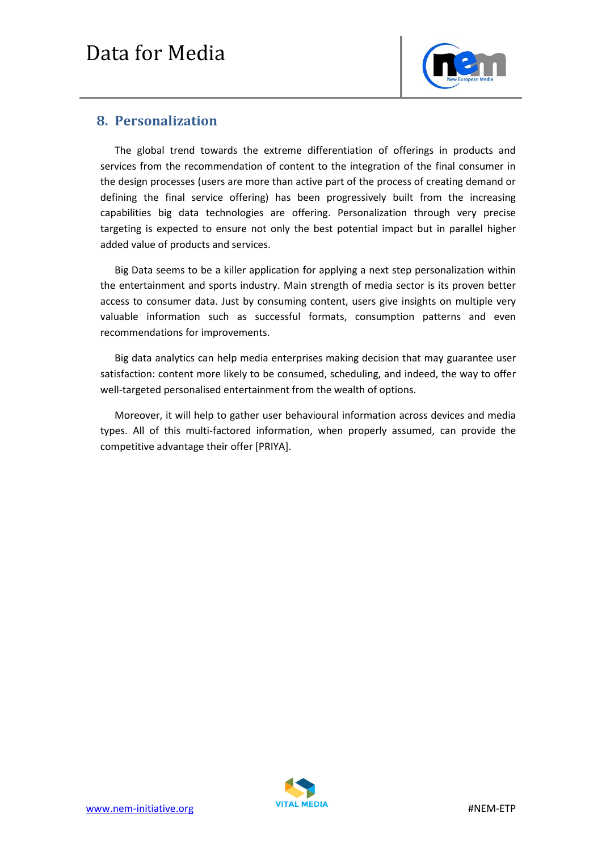

### **8. Personalization**

The global trend towards the extreme differentiation of offerings in products and services from the recommendation of content to the integration of the final consumer in the design processes (users are more than active part of the process of creating demand or defining the final service offering) has been progressively built from the increasing capabilities big data technologies are offering. Personalization through very precise targeting is expected to ensure not only the best potential impact but in parallel higher added value of products and services.

Big Data seems to be a killer application for applying a next step personalization within the entertainment and sports industry. Main strength of media sector is its proven better access to consumer data. Just by consuming content, users give insights on multiple very valuable information such as successful formats, consumption patterns and even recommendations for improvements.

Big data analytics can help media enterprises making decision that may guarantee user satisfaction: content more likely to be consumed, scheduling, and indeed, the way to offer well-targeted personalised entertainment from the wealth of options.

Moreover, it will help to gather user behavioural information across devices and media types. All of this multi-factored information, when properly assumed, can provide the competitive advantage their offer [PRIYA].

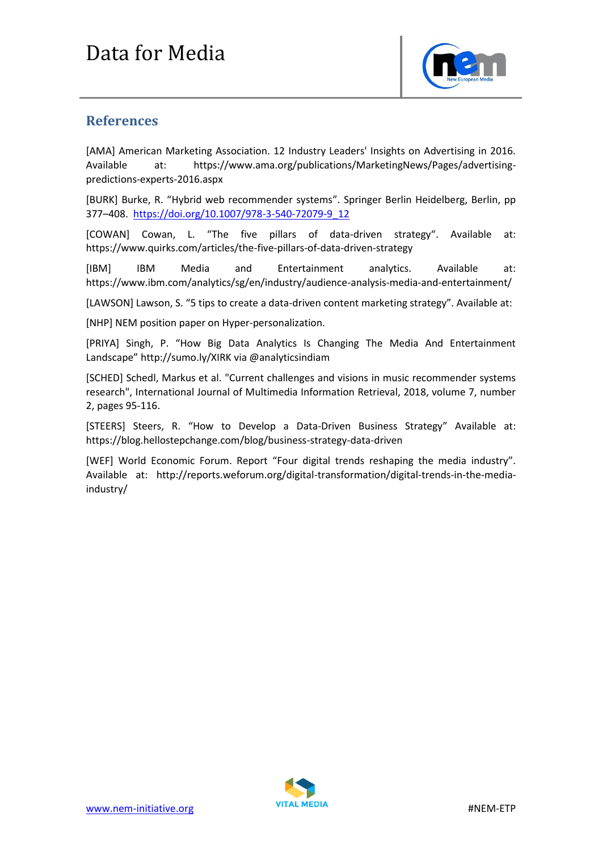

### **References**

[AMA] American Marketing Association. 12 Industry Leaders' Insights on Advertising in 2016. Available at: https://www.ama.org/publications/MarketingNews/Pages/advertisingpredictions-experts-2016.aspx

[BURK] Burke, R. "Hybrid web recommender systems". Springer Berlin Heidelberg, Berlin, pp 377–408. [https://doi.org/10.1007/978-3-540-72079-9\\_12](https://doi.org/10.1007/978-3-540-72079-9_12)

[COWAN] Cowan, L. "The five pillars of data-driven strategy". Available at: <https://www.quirks.com/articles/the-five-pillars-of-data-driven-strategy>

[IBM] IBM Media and Entertainment analytics. Available at: https://www.ibm.com/analytics/sg/en/industry/audience-analysis-media-and-entertainment/

[LAWSON] Lawson, S. "5 tips to create a data-driven content marketing strategy". Available at:

[NHP] NEM position paper on Hyper-personalization.

[PRIYA] Singh, P. "How Big Data Analytics Is Changing The Media And Entertainment Landscape" http://sumo.ly/XIRK via @analyticsindiam

[SCHED] Schedl, Markus et al. "Current challenges and visions in music recommender systems research", International Journal of Multimedia Information Retrieval, 2018, volume 7, number 2, pages 95-116.

[STEERS] Steers, R. "How to Develop a Data-Driven Business Strategy" Available at: https://blog.hellostepchange.com/blog/business-strategy-data-driven

[WEF] World Economic Forum. Report "Four digital trends reshaping the media industry". Available at: http://reports.weforum.org/digital-transformation/digital-trends-in-the-mediaindustry/